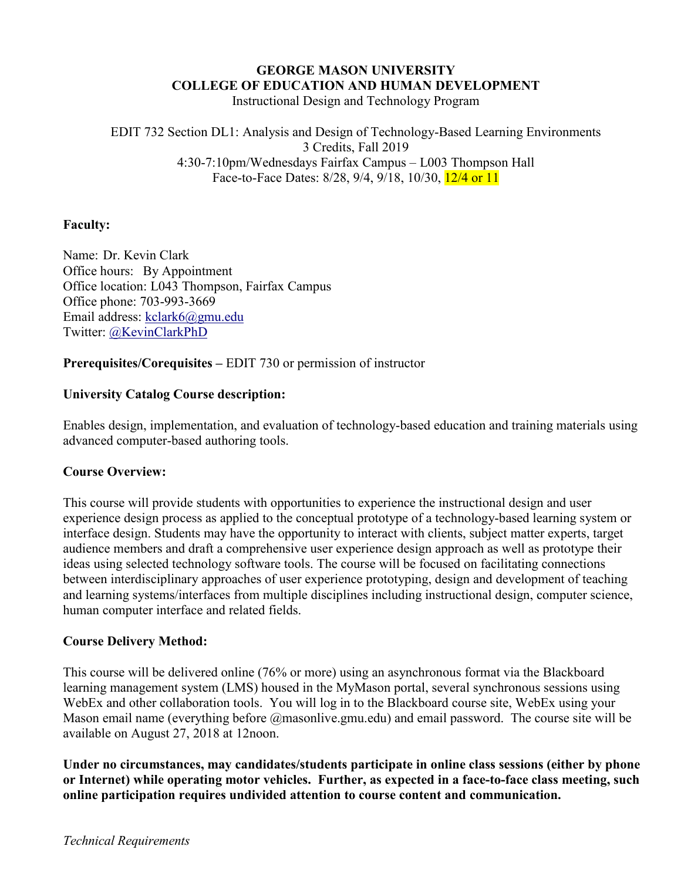## **GEORGE MASON UNIVERSITY COLLEGE OF EDUCATION AND HUMAN DEVELOPMENT**

Instructional Design and Technology Program

### EDIT 732 Section DL1: Analysis and Design of Technology-Based Learning Environments 3 Credits, Fall 2019 4:30-7:10pm/Wednesdays Fairfax Campus – L003 Thompson Hall Face-to-Face Dates: 8/28, 9/4, 9/18, 10/30, 12/4 or 11

## **Faculty:**

Name: Dr. Kevin Clark Office hours: By Appointment Office location: L043 Thompson, Fairfax Campus Office phone: 703-993-3669 Email address: kclark6@gmu.edu Twitter: @KevinClarkPhD

### **Prerequisites/Corequisites –** EDIT 730 or permission of instructor

### **University Catalog Course description:**

Enables design, implementation, and evaluation of technology-based education and training materials using advanced computer-based authoring tools.

### **Course Overview:**

This course will provide students with opportunities to experience the instructional design and user experience design process as applied to the conceptual prototype of a technology-based learning system or interface design. Students may have the opportunity to interact with clients, subject matter experts, target audience members and draft a comprehensive user experience design approach as well as prototype their ideas using selected technology software tools. The course will be focused on facilitating connections between interdisciplinary approaches of user experience prototyping, design and development of teaching and learning systems/interfaces from multiple disciplines including instructional design, computer science, human computer interface and related fields.

### **Course Delivery Method:**

This course will be delivered online (76% or more) using an asynchronous format via the Blackboard learning management system (LMS) housed in the MyMason portal, several synchronous sessions using WebEx and other collaboration tools. You will log in to the Blackboard course site, WebEx using your Mason email name (everything before @masonlive.gmu.edu) and email password. The course site will be available on August 27, 2018 at 12noon.

**Under no circumstances, may candidates/students participate in online class sessions (either by phone or Internet) while operating motor vehicles. Further, as expected in a face-to-face class meeting, such online participation requires undivided attention to course content and communication.**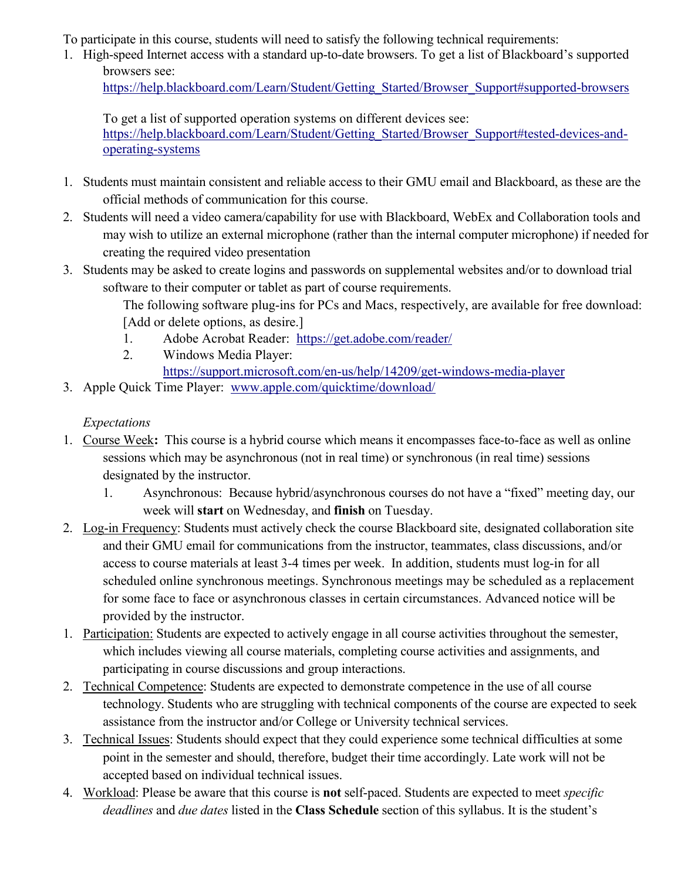To participate in this course, students will need to satisfy the following technical requirements:

1. High-speed Internet access with a standard up-to-date browsers. To get a list of Blackboard's supported browsers see:

[https://help.blackboard.com/Learn/Student/Getting\\_Started/Browser\\_Support#supported-browsers](https://help.blackboard.com/Learn/Student/Getting_Started/Browser_Support#supported-browsers)

To get a list of supported operation systems on different devices see:

[https://help.blackboard.com/Learn/Student/Getting\\_Started/Browser\\_Support#tested-devices-and](https://help.blackboard.com/Learn/Student/Getting_Started/Browser_Support#tested-devices-and-operating-systems)[operating-systems](https://help.blackboard.com/Learn/Student/Getting_Started/Browser_Support#tested-devices-and-operating-systems)

- 1. Students must maintain consistent and reliable access to their GMU email and Blackboard, as these are the official methods of communication for this course.
- 2. Students will need a video camera/capability for use with Blackboard, WebEx and Collaboration tools and may wish to utilize an external microphone (rather than the internal computer microphone) if needed for creating the required video presentation
- 3. Students may be asked to create logins and passwords on supplemental websites and/or to download trial software to their computer or tablet as part of course requirements.

The following software plug-ins for PCs and Macs, respectively, are available for free download: [Add or delete options, as desire.]

- 1. Adobe Acrobat Reader: <https://get.adobe.com/reader/>
- 2. Windows Media Player:

<https://support.microsoft.com/en-us/help/14209/get-windows-media-player>

3. Apple Quick Time Player: [www.apple.com/quicktime/download/](http://www.apple.com/quicktime/download/)

# *Expectations*

- 1. Course Week**:** This course is a hybrid course which means it encompasses face-to-face as well as online sessions which may be asynchronous (not in real time) or synchronous (in real time) sessions designated by the instructor.
	- 1. Asynchronous: Because hybrid/asynchronous courses do not have a "fixed" meeting day, our week will **start** on Wednesday, and **finish** on Tuesday.
- 2. Log-in Frequency: Students must actively check the course Blackboard site, designated collaboration site and their GMU email for communications from the instructor, teammates, class discussions, and/or access to course materials at least 3-4 times per week. In addition, students must log-in for all scheduled online synchronous meetings. Synchronous meetings may be scheduled as a replacement for some face to face or asynchronous classes in certain circumstances. Advanced notice will be provided by the instructor.
- 1. Participation: Students are expected to actively engage in all course activities throughout the semester, which includes viewing all course materials, completing course activities and assignments, and participating in course discussions and group interactions.
- 2. Technical Competence: Students are expected to demonstrate competence in the use of all course technology. Students who are struggling with technical components of the course are expected to seek assistance from the instructor and/or College or University technical services.
- 3. Technical Issues: Students should expect that they could experience some technical difficulties at some point in the semester and should, therefore, budget their time accordingly. Late work will not be accepted based on individual technical issues.
- 4. Workload: Please be aware that this course is **not** self-paced. Students are expected to meet *specific deadlines* and *due dates* listed in the **Class Schedule** section of this syllabus. It is the student's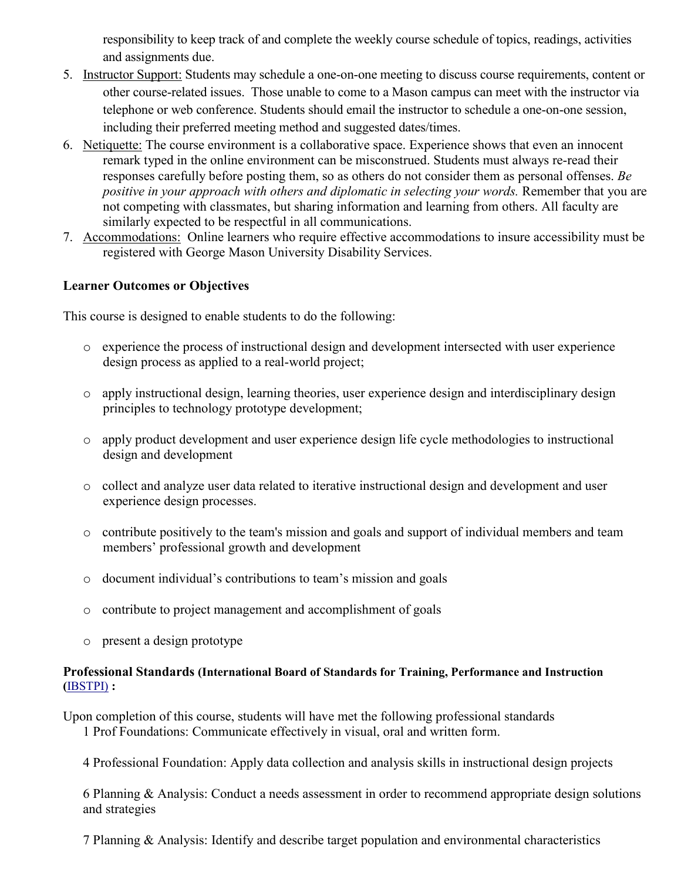responsibility to keep track of and complete the weekly course schedule of topics, readings, activities and assignments due.

- 5. Instructor Support: Students may schedule a one-on-one meeting to discuss course requirements, content or other course-related issues. Those unable to come to a Mason campus can meet with the instructor via telephone or web conference. Students should email the instructor to schedule a one-on-one session, including their preferred meeting method and suggested dates/times.
- 6. Netiquette: The course environment is a collaborative space. Experience shows that even an innocent remark typed in the online environment can be misconstrued. Students must always re-read their responses carefully before posting them, so as others do not consider them as personal offenses. *Be positive in your approach with others and diplomatic in selecting your words.* Remember that you are not competing with classmates, but sharing information and learning from others. All faculty are similarly expected to be respectful in all communications.
- 7. Accommodations: Online learners who require effective accommodations to insure accessibility must be registered with George Mason University Disability Services.

### **Learner Outcomes or Objectives**

This course is designed to enable students to do the following:

- o experience the process of instructional design and development intersected with user experience design process as applied to a real-world project;
- o apply instructional design, learning theories, user experience design and interdisciplinary design principles to technology prototype development;
- o apply product development and user experience design life cycle methodologies to instructional design and development
- o collect and analyze user data related to iterative instructional design and development and user experience design processes.
- o contribute positively to the team's mission and goals and support of individual members and team members' professional growth and development
- o document individual's contributions to team's mission and goals
- o contribute to project management and accomplishment of goals
- o present a design prototype

### **Professional Standards (International Board of Standards for Training, Performance and Instruction (**[IBSTPI\)](http://www.ibstpi.org/) **:**

Upon completion of this course, students will have met the following professional standards 1 Prof Foundations: Communicate effectively in visual, oral and written form.

4 Professional Foundation: Apply data collection and analysis skills in instructional design projects

6 Planning & Analysis: Conduct a needs assessment in order to recommend appropriate design solutions and strategies

7 Planning & Analysis: Identify and describe target population and environmental characteristics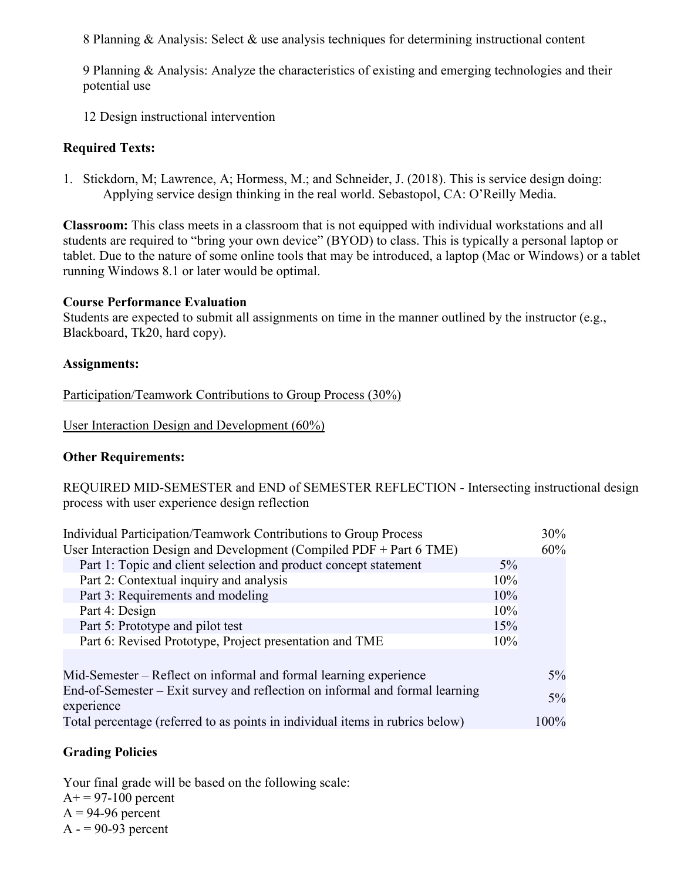8 Planning & Analysis: Select & use analysis techniques for determining instructional content

9 Planning & Analysis: Analyze the characteristics of existing and emerging technologies and their potential use

12 Design instructional intervention

# **Required Texts:**

1. Stickdorn, M; Lawrence, A; Hormess, M.; and Schneider, J. (2018). This is service design doing: Applying service design thinking in the real world. Sebastopol, CA: O'Reilly Media.

**Classroom:** This class meets in a classroom that is not equipped with individual workstations and all students are required to "bring your own device" (BYOD) to class. This is typically a personal laptop or tablet. Due to the nature of some online tools that may be introduced, a laptop (Mac or Windows) or a tablet running Windows 8.1 or later would be optimal.

# **Course Performance Evaluation**

Students are expected to submit all assignments on time in the manner outlined by the instructor (e.g., Blackboard, Tk20, hard copy).

# **Assignments:**

Participation/Teamwork Contributions to Group Process (30%)

User Interaction Design and Development (60%)

## **Other Requirements:**

REQUIRED MID-SEMESTER and END of SEMESTER REFLECTION - Intersecting instructional design process with user experience design reflection

| Individual Participation/Teamwork Contributions to Group Process              |       | 30%   |
|-------------------------------------------------------------------------------|-------|-------|
| User Interaction Design and Development (Compiled PDF $+$ Part 6 TME)         |       | 60%   |
| Part 1: Topic and client selection and product concept statement              | $5\%$ |       |
| Part 2: Contextual inquiry and analysis                                       | 10%   |       |
| Part 3: Requirements and modeling                                             | 10%   |       |
| Part 4: Design                                                                | 10%   |       |
| Part 5: Prototype and pilot test                                              | 15%   |       |
| Part 6: Revised Prototype, Project presentation and TME                       | 10%   |       |
|                                                                               |       |       |
| Mid-Semester – Reflect on informal and formal learning experience             |       | $5\%$ |
| End-of-Semester – Exit survey and reflection on informal and formal learning  |       | $5\%$ |
| experience                                                                    |       |       |
| Total percentage (referred to as points in individual items in rubrics below) |       | 100%  |
|                                                                               |       |       |

# **Grading Policies**

Your final grade will be based on the following scale:  $A+= 97-100$  percent  $A = 94-96$  percent  $A - 90-93$  percent